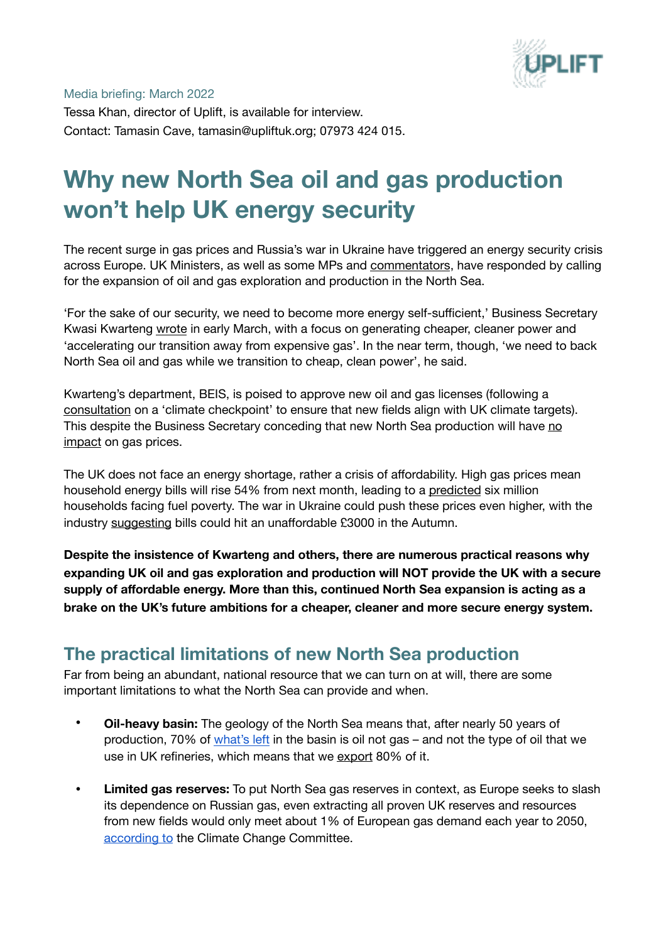

Media briefing: March 2022

Tessa Khan, director of Uplift, is available for interview. Contact: Tamasin Cave, tamasin@upliftuk.org; 07973 424 015.

# **Why new North Sea oil and gas production won't help UK energy security**

The recent surge in gas prices and Russia's war in Ukraine have triggered an energy security crisis across Europe. UK Ministers, as well as some MPs and [commentators](https://www.dailymail.co.uk/news/article-10581529/Nigel-Farage-campaign-Net-Zero-policy-referendum.html), have responded by calling for the expansion of oil and gas exploration and production in the North Sea.

'For the sake of our security, we need to become more energy self-sufficient,' Business Secretary Kwasi Kwarteng [wrote](https://www.dailymail.co.uk/debate/article-10581569/KWASI-KWARTENG-Switch-power-supplies-win-win-except-Putin.html) in early March, with a focus on generating cheaper, cleaner power and 'accelerating our transition away from expensive gas'. In the near term, though, 'we need to back North Sea oil and gas while we transition to cheap, clean power', he said.

Kwarteng's department, BEIS, is poised to approve new oil and gas licenses (following a [consultation](https://www.gov.uk/government/consultations/designing-a-climate-compatibility-checkpoint-for-future-oil-and-gas-licensing-in-the-uk-continental-shelf) on a 'climate checkpoint' to ensure that new fields align with UK climate targets). This despite the Business Secretary conceding that new North Sea production will have [no](https://twitter.com/KwasiKwarteng/status/1498197281144725505)  [impact](https://twitter.com/KwasiKwarteng/status/1498197281144725505) on gas prices.

The UK does not face an energy shortage, rather a crisis of affordability. High gas prices mean household energy bills will rise 54% from next month, leading to a [predicted](https://www.theguardian.com/society/2022/jan/01/6m-homes-uk-pay-energy-bills-price-hike-fuel-poverty) six million households facing fuel poverty. The war in Ukraine could push these prices even higher, with the industry [suggesting](https://www.bbc.co.uk/news/business-60600049) bills could hit an unaffordable £3000 in the Autumn.

**Despite the insistence of Kwarteng and others, there are numerous practical reasons why expanding UK oil and gas exploration and production will NOT provide the UK with a secure supply of affordable energy. More than this, continued North Sea expansion is acting as a brake on the UK's future ambitions for a cheaper, cleaner and more secure energy system.**

# **The practical limitations of new North Sea production**

Far from being an abundant, national resource that we can turn on at will, there are some important limitations to what the North Sea can provide and when.

- **• Oil-heavy basin:** The geology of the North Sea means that, after nearly 50 years of production, 70% of [what's left](https://www.ogauthority.co.uk/data-centre/data-downloads-and-publications/reserves-and-resources/) in the basin is oil not gas – and not the type of oil that we use in UK refineries, which means that we [export](https://www.gov.uk/government/statistics/petroleum-chapter-3-digest-of-united-kingdom-energy-statistics-dukes) 80% of it.
- **• Limited gas reserves:** To put North Sea gas reserves in context, as Europe seeks to slash its dependence on Russian gas, even extracting all proven UK reserves and resources from new fields would only meet about 1% of European gas demand each year to 2050, [according to](https://www.theccc.org.uk/publication/letter-climate-compatibility-of-new-oil-and-gas-fields/) the Climate Change Committee.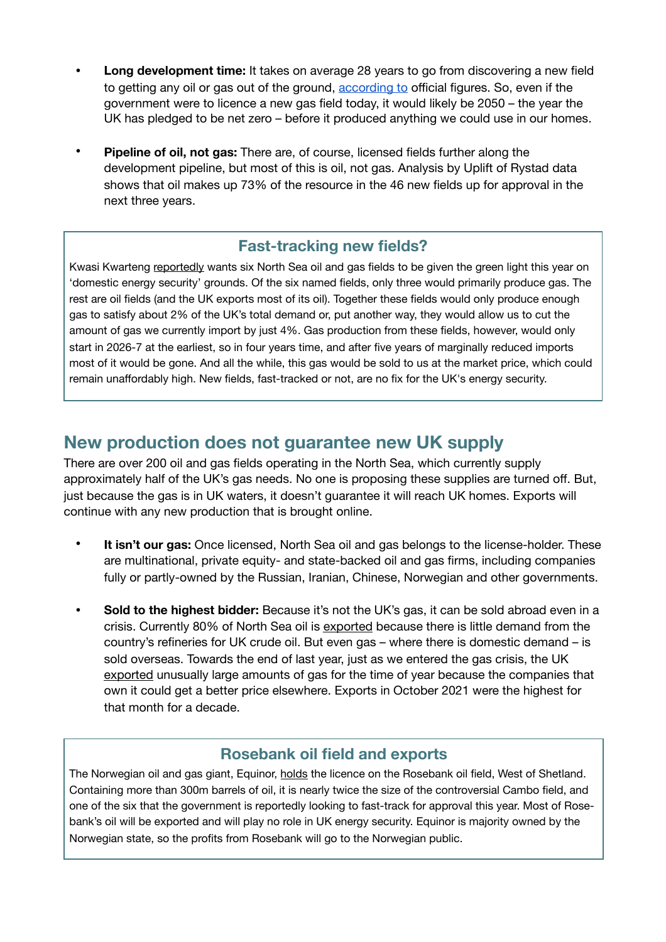- **• Long development time:** It takes on average 28 years to go from discovering a new field to getting any oil or gas out of the ground, [according to](https://www.ogauthority.co.uk/media/6150/2018-ukcs-projects-insights-report.pdf) official figures. So, even if the government were to licence a new gas field today, it would likely be 2050 – the year the UK has pledged to be net zero – before it produced anything we could use in our homes.
- **• Pipeline of oil, not gas:** There are, of course, licensed fields further along the development pipeline, but most of this is oil, not gas. Analysis by Uplift of Rystad data shows that oil makes up 73% of the resource in the 46 new fields up for approval in the next three years.

## **Fast-tracking new fields?**

Kwasi Kwarteng [reportedly](https://www.telegraph.co.uk/politics/2022/02/07/six-north-sea-oil-gas-fields-fired-amid-cabinet-row-net-zero/) wants six North Sea oil and gas fields to be given the green light this year on 'domestic energy security' grounds. Of the six named fields, only three would primarily produce gas. The rest are oil fields (and the UK exports most of its oil). Together these fields would only produce enough gas to satisfy about 2% of the UK's total demand or, put another way, they would allow us to cut the amount of gas we currently import by just 4%. Gas production from these fields, however, would only start in 2026-7 at the earliest, so in four years time, and after five years of marginally reduced imports most of it would be gone. And all the while, this gas would be sold to us at the market price, which could remain unaffordably high. New fields, fast-tracked or not, are no fix for the UK's energy security.

## **New production does not guarantee new UK supply**

There are over 200 oil and gas fields operating in the North Sea, which currently supply approximately half of the UK's gas needs. No one is proposing these supplies are turned off. But, just because the gas is in UK waters, it doesn't guarantee it will reach UK homes. Exports will continue with any new production that is brought online.

- **• It isn't our gas:** Once licensed, North Sea oil and gas belongs to the license-holder. These are multinational, private equity- and state-backed oil and gas firms, including companies fully or partly-owned by the Russian, Iranian, Chinese, Norwegian and other governments.
- **• Sold to the highest bidder:** Because it's not the UK's gas, it can be sold abroad even in a crisis. Currently 80% of North Sea oil is [exported](https://www.gov.uk/government/statistics/petroleum-chapter-3-digest-of-united-kingdom-energy-statistics-dukes) because there is little demand from the country's refineries for UK crude oil. But even gas – where there is domestic demand – is sold overseas. Towards the end of last year, just as we entered the gas crisis, the UK [exported](https://www.dailymail.co.uk/news/article-10455627/UK-gas-exports-double-year-millions-British-families-face-soaring-bills.html) unusually large amounts of gas for the time of year because the companies that own it could get a better price elsewhere. Exports in October 2021 were the highest for that month for a decade.

## **Rosebank oil field and exports**

The Norwegian oil and gas giant, Equinor, [holds](https://www.equinor.com/en/news/equinor-sets-new-timeline-for-rosebank-project.html) the licence on the Rosebank oil field, West of Shetland. Containing more than 300m barrels of oil, it is nearly twice the size of the controversial Cambo field, and one of the six that the government is reportedly looking to fast-track for approval this year. Most of Rosebank's oil will be exported and will play no role in UK energy security. Equinor is majority owned by the Norwegian state, so the profits from Rosebank will go to the Norwegian public.